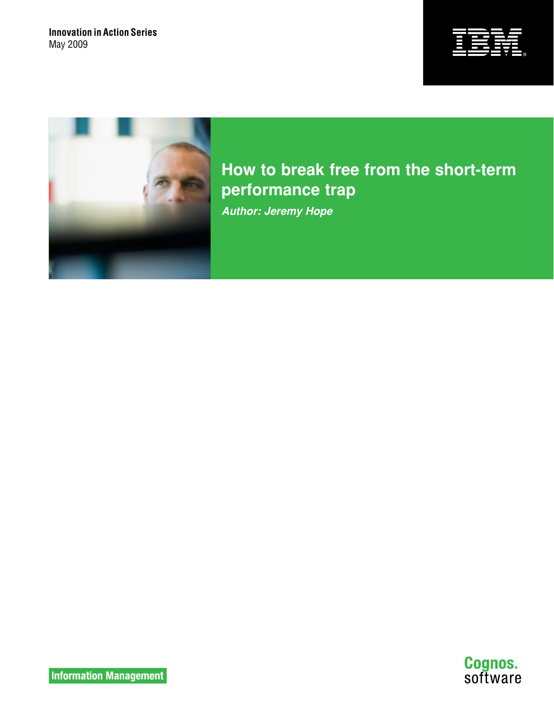



**How to break free from the short-term performance trap**  *Author: Jeremy Hope*

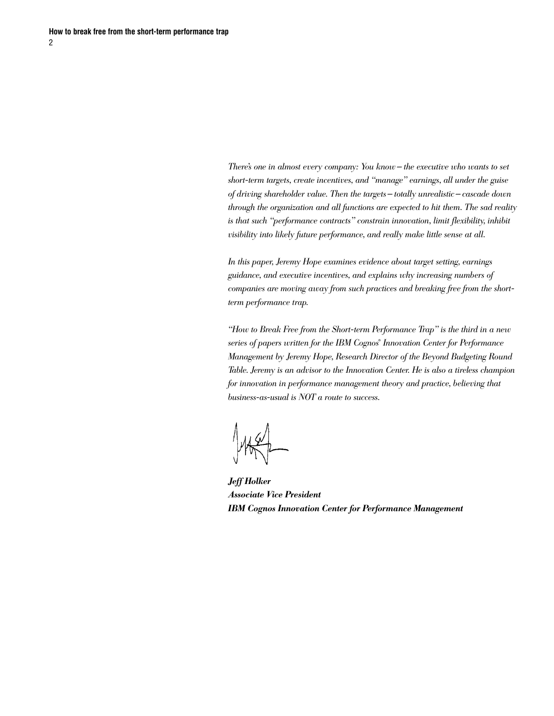*There's one in almost every company: You know — the executive who wants to set short-term targets, create incentives, and "manage" earnings, all under the guise of driving shareholder value. Then the targets — totally unrealistic — cascade down through the organization and all functions are expected to hit them. The sad reality is that such "performance contracts" constrain innovation, limit flexibility, inhibit visibility into likely future performance, and really make little sense at all.*

*In this paper, Jeremy Hope examines evidence about target setting, earnings guidance, and executive incentives, and explains why increasing numbers of companies are moving away from such practices and breaking free from the shortterm performance trap.*

*"How to Break Free from the Short-term Performance Trap" is the third in a new series of papers written for the IBM Cognos® Innovation Center for Performance Management by Jeremy Hope, Research Director of the Beyond Budgeting Round Table. Jeremy is an advisor to the Innovation Center. He is also a tireless champion*  for innovation in performance management theory and practice, believing that *business-as-usual is NOT a route to success.*

*Jeff Holker Associate Vice President IBM Cognos Innovation Center for Performance Management*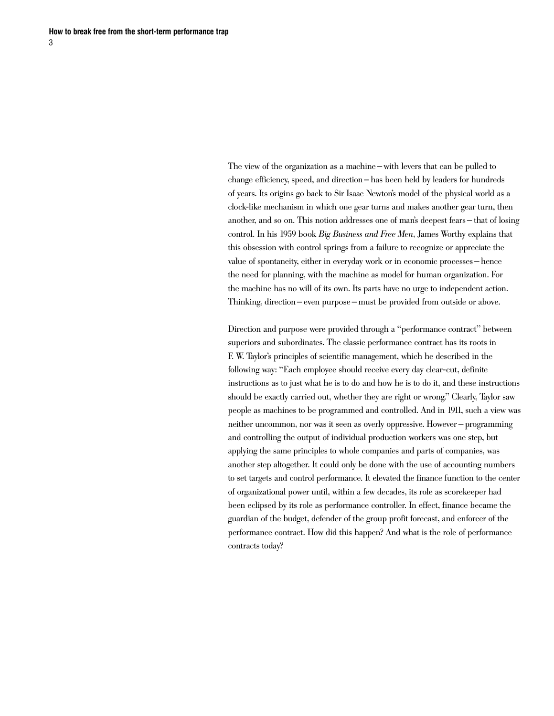The view of the organization as a machine—with levers that can be pulled to change efficiency, speed, and direction— has been held by leaders for hundreds of years. Its origins go back to Sir Isaac Newton's model of the physical world as a clock-like mechanism in which one gear turns and makes another gear turn, then another, and so on. This notion addresses one of man's deepest fears— that of losing control. In his 1959 book *Big Business and Free Men*, James Worthy explains that this obsession with control springs from a failure to recognize or appreciate the value of spontaneity, either in everyday work or in economic processes— hence the need for planning, with the machine as model for human organization. For the machine has no will of its own. Its parts have no urge to independent action. Thinking, direction— even purpose— must be provided from outside or above.

Direction and purpose were provided through a "performance contract" between superiors and subordinates. The classic performance contract has its roots in F. W. Taylor's principles of scientific management, which he described in the following way: "Each employee should receive every day clear-cut, definite instructions as to just what he is to do and how he is to do it, and these instructions should be exactly carried out, whether they are right or wrong." Clearly, Taylor saw people as machines to be programmed and controlled. And in 1911, such a view was neither uncommon, nor was it seen as overly oppressive. However — programming and controlling the output of individual production workers was one step, but applying the same principles to whole companies and parts of companies, was another step altogether. It could only be done with the use of accounting numbers to set targets and control performance. It elevated the finance function to the center of organizational power until, within a few decades, its role as scorekeeper had been eclipsed by its role as performance controller. In effect, finance became the guardian of the budget, defender of the group profit forecast, and enforcer of the performance contract. How did this happen? And what is the role of performance contracts today?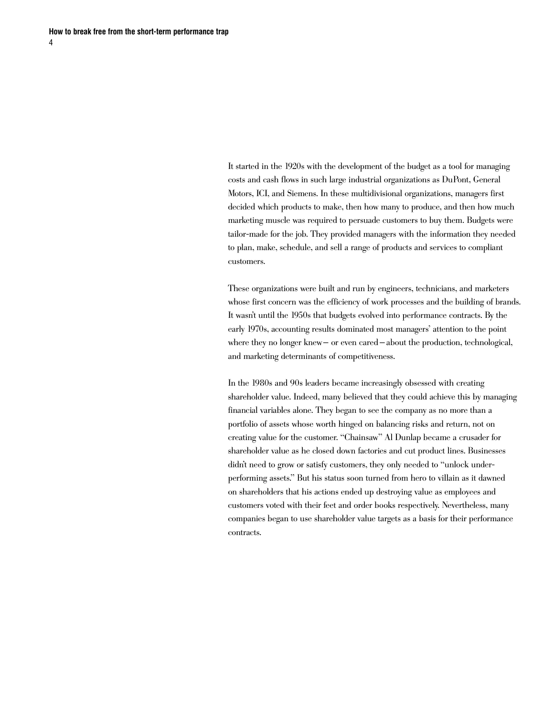It started in the 1920s with the development of the budget as a tool for managing costs and cash flows in such large industrial organizations as DuPont, General Motors, ICI, and Siemens. In these multidivisional organizations, managers first decided which products to make, then how many to produce, and then how much marketing muscle was required to persuade customers to buy them. Budgets were tailor-made for the job. They provided managers with the information they needed to plan, make, schedule, and sell a range of products and services to compliant customers.

These organizations were built and run by engineers, technicians, and marketers whose first concern was the efficiency of work processes and the building of brands. It wasn't until the 1950s that budgets evolved into performance contracts. By the early 1970s, accounting results dominated most managers' attention to the point where they no longer knew— or even cared – about the production, technological, and marketing determinants of competitiveness.

In the 1980s and 90s leaders became increasingly obsessed with creating shareholder value. Indeed, many believed that they could achieve this by managing financial variables alone. They began to see the company as no more than a portfolio of assets whose worth hinged on balancing risks and return, not on creating value for the customer. "Chainsaw" Al Dunlap became a crusader for shareholder value as he closed down factories and cut product lines. Businesses didn't need to grow or satisfy customers, they only needed to "unlock underperforming assets." But his status soon turned from hero to villain as it dawned on shareholders that his actions ended up destroying value as employees and customers voted with their feet and order books respectively. Nevertheless, many companies began to use shareholder value targets as a basis for their performance contracts.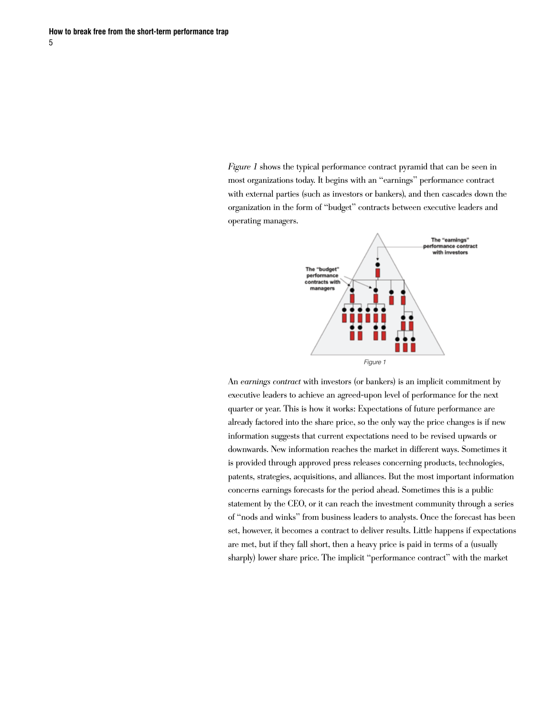*Figure 1* shows the typical performance contract pyramid that can be seen in most organizations today. It begins with an "earnings" performance contract with external parties (such as investors or bankers), and then cascades down the organization in the form of "budget" contracts between executive leaders and operating managers.



An *earnings contract* with investors (or bankers) is an implicit commitment by executive leaders to achieve an agreed-upon level of performance for the next quarter or year. This is how it works: Expectations of future performance are already factored into the share price, so the only way the price changes is if new information suggests that current expectations need to be revised upwards or downwards. New information reaches the market in different ways. Sometimes it is provided through approved press releases concerning products, technologies, patents, strategies, acquisitions, and alliances. But the most important information concerns earnings forecasts for the period ahead. Sometimes this is a public statement by the CEO, or it can reach the investment community through a series of "nods and winks" from business leaders to analysts. Once the forecast has been set, however, it becomes a contract to deliver results. Little happens if expectations are met, but if they fall short, then a heavy price is paid in terms of a (usually sharply) lower share price. The implicit "performance contract" with the market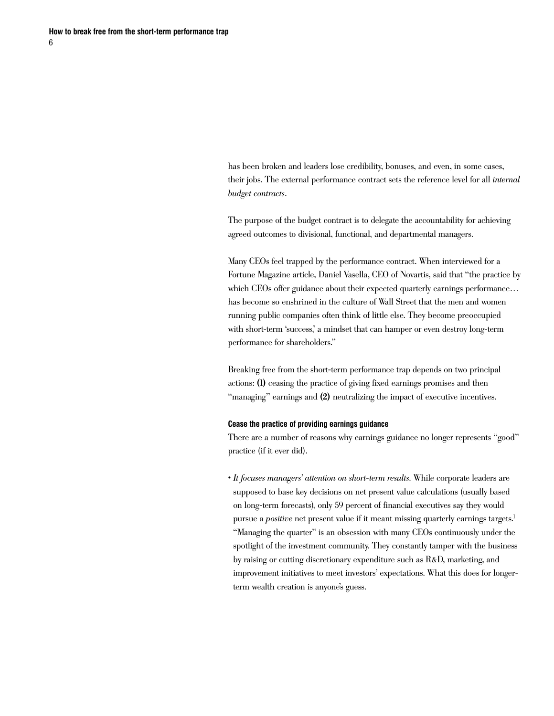has been broken and leaders lose credibility, bonuses, and even, in some cases, their jobs. The external performance contract sets the reference level for all *internal budget contracts*.

The purpose of the budget contract is to delegate the accountability for achieving agreed outcomes to divisional, functional, and departmental managers.

Many CEOs feel trapped by the performance contract. When interviewed for a Fortune Magazine article, Daniel Vasella, CEO of Novartis, said that "the practice by which CEOs offer guidance about their expected quarterly earnings performance... has become so enshrined in the culture of Wall Street that the men and women running public companies often think of little else. They become preoccupied with short-term 'success,' a mindset that can hamper or even destroy long-term performance for shareholders."

Breaking free from the short-term performance trap depends on two principal actions: (1) ceasing the practice of giving fixed earnings promises and then "managing" earnings and (2) neutralizing the impact of executive incentives.

### **Cease the practice of providing earnings guidance**

There are a number of reasons why earnings guidance no longer represents "good" practice (if it ever did).

• *It focuses managers' attention on short-term results.* While corporate leaders are supposed to base key decisions on net present value calculations (usually based on long-term forecasts), only 59 percent of financial executives say they would pursue a *positive* net present value if it meant missing quarterly earnings targets.<sup>1</sup> "Managing the quarter" is an obsession with many CEOs continuously under the spotlight of the investment community. They constantly tamper with the business by raising or cutting discretionary expenditure such as R&D, marketing, and improvement initiatives to meet investors' expectations. What this does for longerterm wealth creation is anyone's guess.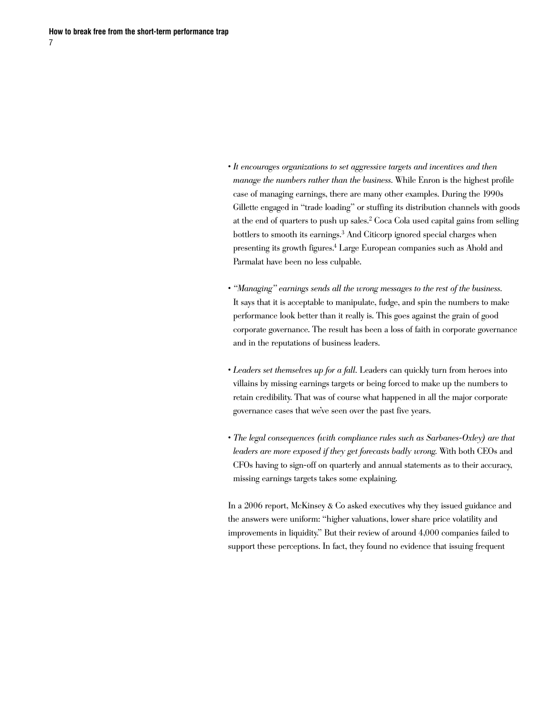- *It encourages organizations to set aggressive targets and incentives and then manage the numbers rather than the business.* While Enron is the highest profile case of managing earnings, there are many other examples. During the 1990s Gillette engaged in "trade loading" or stuffing its distribution channels with goods at the end of quarters to push up sales.2 Coca Cola used capital gains from selling bottlers to smooth its earnings.<sup>3</sup> And Citicorp ignored special charges when presenting its growth figures.4 Large European companies such as Ahold and Parmalat have been no less culpable.
- *"Managing" earnings sends all the wrong messages to the rest of the business.* It says that it is acceptable to manipulate, fudge, and spin the numbers to make performance look better than it really is. This goes against the grain of good corporate governance. The result has been a loss of faith in corporate governance and in the reputations of business leaders.
- *Leaders set themselves up for a fall.* Leaders can quickly turn from heroes into villains by missing earnings targets or being forced to make up the numbers to retain credibility. That was of course what happened in all the major corporate governance cases that we've seen over the past five years.
- *The legal consequences (with compliance rules such as Sarbanes-Oxley) are that leaders are more exposed if they get forecasts badly wrong.* With both CEOs and CFOs having to sign-off on quarterly and annual statements as to their accuracy, missing earnings targets takes some explaining.

In a 2006 report, McKinsey & Co asked executives why they issued guidance and the answers were uniform: "higher valuations, lower share price volatility and improvements in liquidity." But their review of around 4,000 companies failed to support these perceptions. In fact, they found no evidence that issuing frequent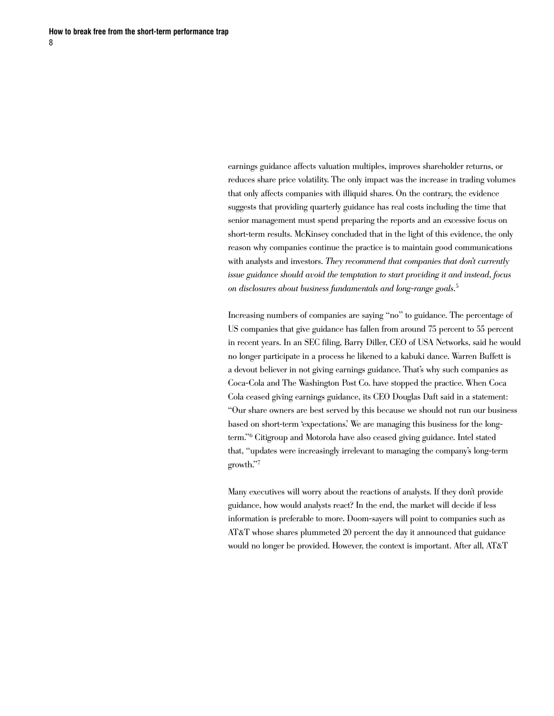earnings guidance affects valuation multiples, improves shareholder returns, or reduces share price volatility. The only impact was the increase in trading volumes that only affects companies with illiquid shares. On the contrary, the evidence suggests that providing quarterly guidance has real costs including the time that senior management must spend preparing the reports and an excessive focus on short-term results. McKinsey concluded that in the light of this evidence, the only reason why companies continue the practice is to maintain good communications with analysts and investors. *They recommend that companies that don't currently issue guidance should avoid the temptation to start providing it and instead, focus on disclosures about business fundamentals and long-range goals*. 5

Increasing numbers of companies are saying "no" to guidance. The percentage of US companies that give guidance has fallen from around 75 percent to 55 percent in recent years. In an SEC filing, Barry Diller, CEO of USA Networks, said he would no longer participate in a process he likened to a kabuki dance. Warren Buffett is a devout believer in not giving earnings guidance. That's why such companies as Coca-Cola and The Washington Post Co. have stopped the practice. When Coca Cola ceased giving earnings guidance, its CEO Douglas Daft said in a statement: "Our share owners are best served by this because we should not run our business based on short-term 'expectations.' We are managing this business for the longterm."6 Citigroup and Motorola have also ceased giving guidance. Intel stated that, "updates were increasingly irrelevant to managing the company's long-term growth."7

Many executives will worry about the reactions of analysts. If they don't provide guidance, how would analysts react? In the end, the market will decide if less information is preferable to more. Doom-sayers will point to companies such as AT&T whose shares plummeted 20 percent the day it announced that guidance would no longer be provided. However, the context is important. After all, AT&T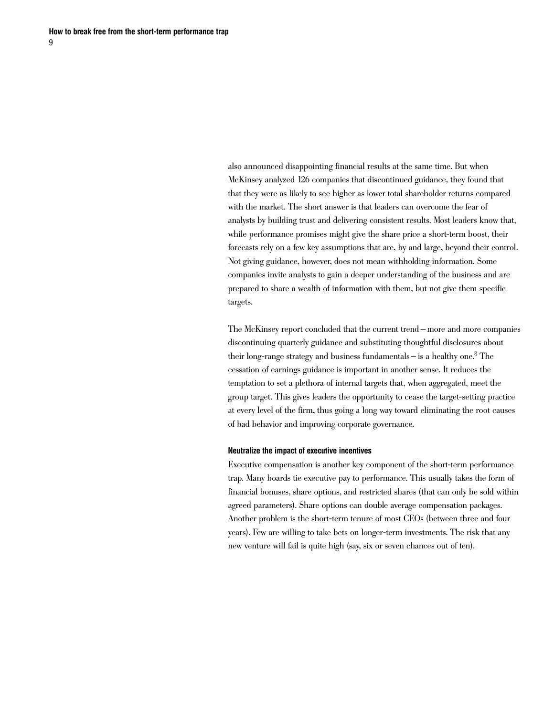also announced disappointing financial results at the same time. But when McKinsey analyzed 126 companies that discontinued guidance, they found that that they were as likely to see higher as lower total shareholder returns compared with the market. The short answer is that leaders can overcome the fear of analysts by building trust and delivering consistent results. Most leaders know that, while performance promises might give the share price a short-term boost, their forecasts rely on a few key assumptions that are, by and large, beyond their control. Not giving guidance, however, does not mean withholding information. Some companies invite analysts to gain a deeper understanding of the business and are prepared to share a wealth of information with them, but not give them specific targets.

The McKinsey report concluded that the current trend — more and more companies discontinuing quarterly guidance and substituting thoughtful disclosures about their long-range strategy and business fundamentals— is a healthy one.8 The cessation of earnings guidance is important in another sense. It reduces the temptation to set a plethora of internal targets that, when aggregated, meet the group target. This gives leaders the opportunity to cease the target-setting practice at every level of the firm, thus going a long way toward eliminating the root causes of bad behavior and improving corporate governance.

#### **Neutralize the impact of executive incentives**

Executive compensation is another key component of the short-term performance trap. Many boards tie executive pay to performance. This usually takes the form of financial bonuses, share options, and restricted shares (that can only be sold within agreed parameters). Share options can double average compensation packages. Another problem is the short-term tenure of most CEOs (between three and four years). Few are willing to take bets on longer-term investments. The risk that any new venture will fail is quite high (say, six or seven chances out of ten).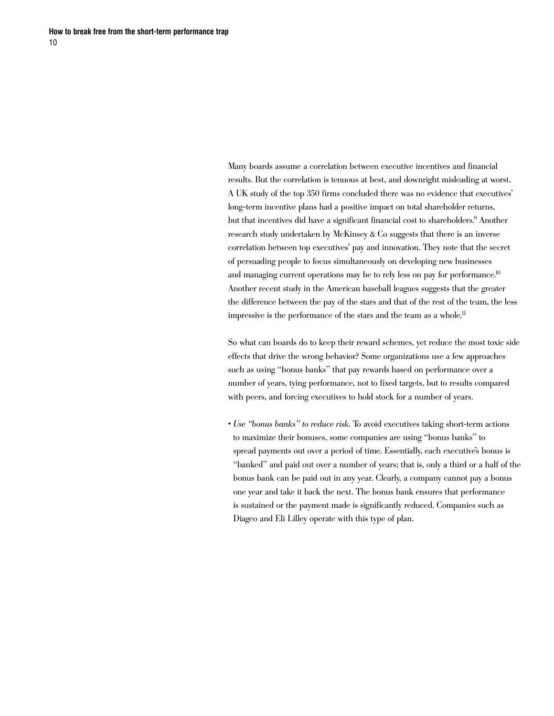Many boards assume a correlation between executive incentives and financial results. But the correlation is tenuous at best, and downright misleading at worst. A UK study of the top 350 firms concluded there was no evidence that executives' long-term incentive plans had a positive impact on total shareholder returns, but that incentives did have a significant financial cost to shareholders.9 Another research study undertaken by McKinsey & Co suggests that there is an inverse correlation between top executives' pay and innovation. They note that the secret of persuading people to focus simultaneously on developing new businesses and managing current operations may be to rely less on pay for performance.<sup>10</sup> Another recent study in the American baseball leagues suggests that the greater the difference between the pay of the stars and that of the rest of the team, the less impressive is the performance of the stars and the team as a whole.<sup>11</sup>

So what can boards do to keep their reward schemes, yet reduce the most toxic side effects that drive the wrong behavior? Some organizations use a few approaches such as using "bonus banks" that pay rewards based on performance over a number of years, tying performance, not to fixed targets, but to results compared with peers, and forcing executives to hold stock for a number of years.

• *Use "bonus banks" to reduce risk.* To avoid executives taking short-term actions to maximize their bonuses, some companies are using "bonus banks" to spread payments out over a period of time. Essentially, each executive's bonus is "banked" and paid out over a number of years; that is, only a third or a half of the bonus bank can be paid out in any year. Clearly, a company cannot pay a bonus one year and take it back the next. The bonus bank ensures that performance is sustained or the payment made is significantly reduced. Companies such as Diageo and Eli Lilley operate with this type of plan.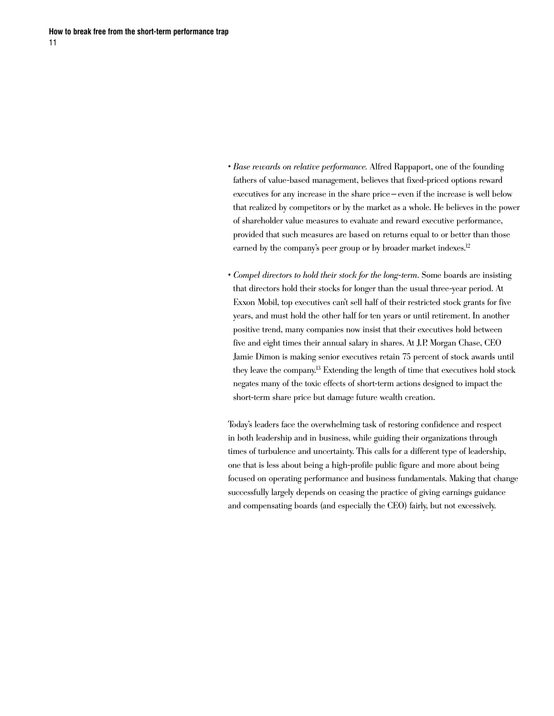- *Base rewards on relative performance.* Alfred Rappaport, one of the founding fathers of value-based management, believes that fixed-priced options reward executives for any increase in the share price— even if the increase is well below that realized by competitors or by the market as a whole. He believes in the power of shareholder value measures to evaluate and reward executive performance, provided that such measures are based on returns equal to or better than those earned by the company's peer group or by broader market indexes.<sup>12</sup>
- *Compel directors to hold their stock for the long-term.* Some boards are insisting that directors hold their stocks for longer than the usual three-year period. At Exxon Mobil, top executives can't sell half of their restricted stock grants for five years, and must hold the other half for ten years or until retirement. In another positive trend, many companies now insist that their executives hold between five and eight times their annual salary in shares. At J.P. Morgan Chase, CEO Jamie Dimon is making senior executives retain 75 percent of stock awards until they leave the company.13 Extending the length of time that executives hold stock negates many of the toxic effects of short-term actions designed to impact the short-term share price but damage future wealth creation.

Today's leaders face the overwhelming task of restoring confidence and respect in both leadership and in business, while guiding their organizations through times of turbulence and uncertainty. This calls for a different type of leadership, one that is less about being a high-profile public figure and more about being focused on operating performance and business fundamentals. Making that change successfully largely depends on ceasing the practice of giving earnings guidance and compensating boards (and especially the CEO) fairly, but not excessively.